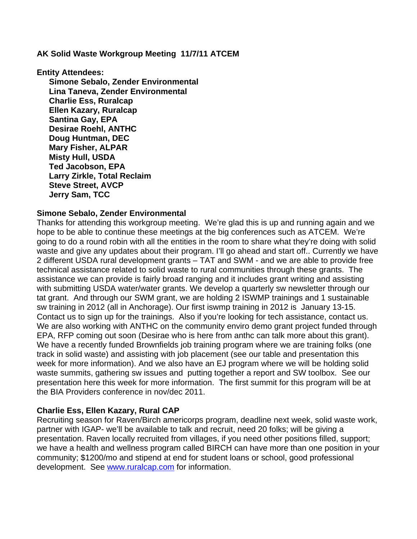**AK Solid Waste Workgroup Meeting 11/7/11 ATCEM** 

**Entity Attendees:** 

**Simone Sebalo, Zender Environmental Lina Taneva, Zender Environmental Charlie Ess, Ruralcap Ellen Kazary, Ruralcap Santina Gay, EPA Desirae Roehl, ANTHC Doug Huntman, DEC Mary Fisher, ALPAR Misty Hull, USDA Ted Jacobson, EPA Larry Zirkle, Total Reclaim Steve Street, AVCP Jerry Sam, TCC** 

#### **Simone Sebalo, Zender Environmental**

Thanks for attending this workgroup meeting. We're glad this is up and running again and we hope to be able to continue these meetings at the big conferences such as ATCEM. We're going to do a round robin with all the entities in the room to share what they're doing with solid waste and give any updates about their program. I'll go ahead and start off.. Currently we have 2 different USDA rural development grants – TAT and SWM - and we are able to provide free technical assistance related to solid waste to rural communities through these grants. The assistance we can provide is fairly broad ranging and it includes grant writing and assisting with submitting USDA water/water grants. We develop a quarterly sw newsletter through our tat grant. And through our SWM grant, we are holding 2 ISWMP trainings and 1 sustainable sw training in 2012 (all in Anchorage). Our first iswmp training in 2012 is January 13-15. Contact us to sign up for the trainings. Also if you're looking for tech assistance, contact us. We are also working with ANTHC on the community enviro demo grant project funded through EPA, RFP coming out soon (Desirae who is here from anthc can talk more about this grant). We have a recently funded Brownfields job training program where we are training folks (one track in solid waste) and assisting with job placement (see our table and presentation this week for more information). And we also have an EJ program where we will be holding solid waste summits, gathering sw issues and putting together a report and SW toolbox. See our presentation here this week for more information. The first summit for this program will be at the BIA Providers conference in nov/dec 2011.

#### **Charlie Ess, Ellen Kazary, Rural CAP**

Recruiting season for Raven/Birch americorps program, deadline next week, solid waste work, partner with IGAP- we'll be available to talk and recruit, need 20 folks; will be giving a presentation. Raven locally recruited from villages, if you need other positions filled, support; we have a health and wellness program called BIRCH can have more than one position in your community; \$1200/mo and stipend at end for student loans or school, good professional development. See www.ruralcap.com for information.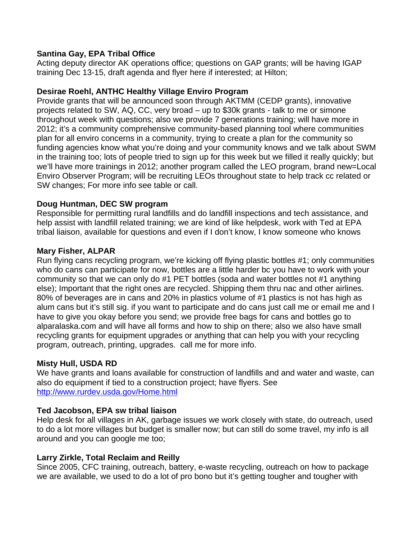## **Santina Gay, EPA Tribal Office**

Acting deputy director AK operations office; questions on GAP grants; will be having IGAP training Dec 13-15, draft agenda and flyer here if interested; at Hilton;

### **Desirae Roehl, ANTHC Healthy Village Enviro Program**

Provide grants that will be announced soon through AKTMM (CEDP grants), innovative projects related to SW, AQ, CC, very broad – up to \$30k grants - talk to me or simone throughout week with questions; also we provide 7 generations training; will have more in 2012; it's a community comprehensive community-based planning tool where communities plan for all enviro concerns in a community, trying to create a plan for the community so funding agencies know what you're doing and your community knows and we talk about SWM in the training too; lots of people tried to sign up for this week but we filled it really quickly; but we'll have more trainings in 2012; another program called the LEO program, brand new=Local Enviro Observer Program; will be recruiting LEOs throughout state to help track cc related or SW changes; For more info see table or call.

### **Doug Huntman, DEC SW program**

Responsible for permitting rural landfills and do landfill inspections and tech assistance, and help assist with landfill related training; we are kind of like helpdesk, work with Ted at EPA tribal liaison, available for questions and even if I don't know, I know someone who knows

### **Mary Fisher, ALPAR**

Run flying cans recycling program, we're kicking off flying plastic bottles #1; only communities who do cans can participate for now, bottles are a little harder bc you have to work with your community so that we can only do #1 PET bottles (soda and water bottles not #1 anything else); Important that the right ones are recycled. Shipping them thru nac and other airlines. 80% of beverages are in cans and 20% in plastics volume of #1 plastics is not has high as alum cans but it's still sig. if you want to participate and do cans just call me or email me and I have to give you okay before you send; we provide free bags for cans and bottles go to alparalaska.com and will have all forms and how to ship on there; also we also have small recycling grants for equipment upgrades or anything that can help you with your recycling program, outreach, printing, upgrades. call me for more info.

# **Misty Hull, USDA RD**

We have grants and loans available for construction of landfills and and water and waste, can also do equipment if tied to a construction project; have flyers. See http://www.rurdev.usda.gov/Home.html

#### **Ted Jacobson, EPA sw tribal liaison**

Help desk for all villages in AK, garbage issues we work closely with state, do outreach, used to do a lot more villages but budget is smaller now; but can still do some travel, my info is all around and you can google me too;

# **Larry Zirkle, Total Reclaim and Reilly**

Since 2005, CFC training, outreach, battery, e-waste recycling, outreach on how to package we are available, we used to do a lot of pro bono but it's getting tougher and tougher with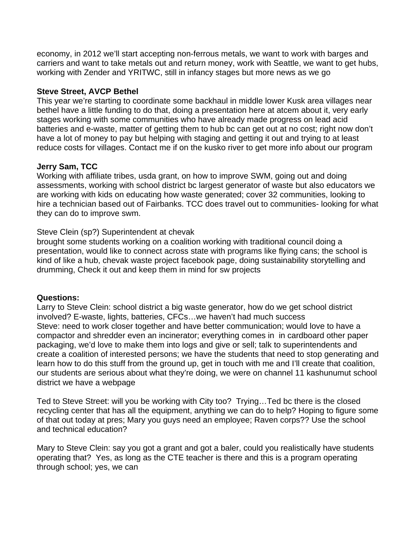economy, in 2012 we'll start accepting non-ferrous metals, we want to work with barges and carriers and want to take metals out and return money, work with Seattle, we want to get hubs, working with Zender and YRITWC, still in infancy stages but more news as we go

### **Steve Street, AVCP Bethel**

This year we're starting to coordinate some backhaul in middle lower Kusk area villages near bethel have a little funding to do that, doing a presentation here at atcem about it, very early stages working with some communities who have already made progress on lead acid batteries and e-waste, matter of getting them to hub bc can get out at no cost; right now don't have a lot of money to pay but helping with staging and getting it out and trying to at least reduce costs for villages. Contact me if on the kusko river to get more info about our program

# **Jerry Sam, TCC**

Working with affiliate tribes, usda grant, on how to improve SWM, going out and doing assessments, working with school district bc largest generator of waste but also educators we are working with kids on educating how waste generated; cover 32 communities, looking to hire a technician based out of Fairbanks. TCC does travel out to communities- looking for what they can do to improve swm.

# Steve Clein (sp?) Superintendent at chevak

brought some students working on a coalition working with traditional council doing a presentation, would like to connect across state with programs like flying cans; the school is kind of like a hub, chevak waste project facebook page, doing sustainability storytelling and drumming, Check it out and keep them in mind for sw projects

#### **Questions:**

Larry to Steve Clein: school district a big waste generator, how do we get school district involved? E-waste, lights, batteries, CFCs…we haven't had much success Steve: need to work closer together and have better communication; would love to have a compactor and shredder even an incinerator; everything comes in in cardboard other paper packaging, we'd love to make them into logs and give or sell; talk to superintendents and create a coalition of interested persons; we have the students that need to stop generating and learn how to do this stuff from the ground up, get in touch with me and I'll create that coalition, our students are serious about what they're doing, we were on channel 11 kashunumut school district we have a webpage

Ted to Steve Street: will you be working with City too? Trying…Ted bc there is the closed recycling center that has all the equipment, anything we can do to help? Hoping to figure some of that out today at pres; Mary you guys need an employee; Raven corps?? Use the school and technical education?

Mary to Steve Clein: say you got a grant and got a baler, could you realistically have students operating that? Yes, as long as the CTE teacher is there and this is a program operating through school; yes, we can